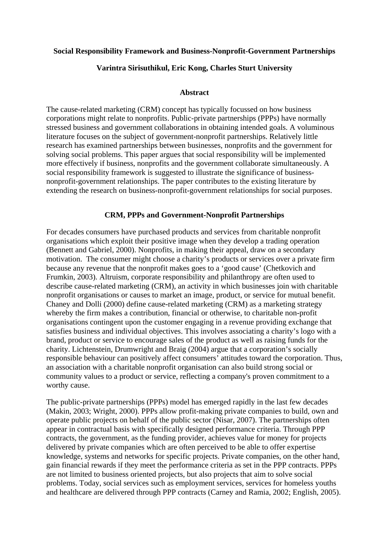## **Social Responsibility Framework and Business-Nonprofit-Government Partnerships**

### **Varintra Sirisuthikul, Eric Kong, Charles Sturt University**

#### **Abstract**

The cause-related marketing (CRM) concept has typically focussed on how business corporations might relate to nonprofits. Public-private partnerships (PPPs) have normally stressed business and government collaborations in obtaining intended goals. A voluminous literature focuses on the subject of government-nonprofit partnerships. Relatively little research has examined partnerships between businesses, nonprofits and the government for solving social problems. This paper argues that social responsibility will be implemented more effectively if business, nonprofits and the government collaborate simultaneously. A social responsibility framework is suggested to illustrate the significance of businessnonprofit-government relationships. The paper contributes to the existing literature by extending the research on business-nonprofit-government relationships for social purposes.

#### **CRM, PPPs and Government-Nonprofit Partnerships**

For decades consumers have purchased products and services from charitable nonprofit organisations which exploit their positive image when they develop a trading operation (Bennett and Gabriel, 2000). Nonprofits, in making their appeal, draw on a secondary motivation. The consumer might choose a charity's products or services over a private firm because any revenue that the nonprofit makes goes to a 'good cause' (Chetkovich and Frumkin, 2003). Altruism, corporate responsibility and philanthropy are often used to describe cause-related marketing (CRM), an activity in which businesses join with charitable nonprofit organisations or causes to market an image, product, or service for mutual benefit. Chaney and Dolli (2000) define cause-related marketing (CRM) as a marketing strategy whereby the firm makes a contribution, financial or otherwise, to charitable non-profit organisations contingent upon the customer engaging in a revenue providing exchange that satisfies business and individual objectives. This involves associating a charity's logo with a brand, product or service to encourage sales of the product as well as raising funds for the charity. Lichtenstein, Drumwright and Braig (2004) argue that a corporation's socially responsible behaviour can positively affect consumers' attitudes toward the corporation. Thus, an association with a charitable nonprofit organisation can also build strong social or community values to a product or service, reflecting a company's proven commitment to a worthy cause.

The public-private partnerships (PPPs) model has emerged rapidly in the last few decades (Makin, 2003; Wright, 2000). PPPs allow profit-making private companies to build, own and operate public projects on behalf of the public sector (Nisar, 2007). The partnerships often appear in contractual basis with specifically designed performance criteria. Through PPP contracts, the government, as the funding provider, achieves value for money for projects delivered by private companies which are often perceived to be able to offer expertise knowledge, systems and networks for specific projects. Private companies, on the other hand, gain financial rewards if they meet the performance criteria as set in the PPP contracts. PPPs are not limited to business oriented projects, but also projects that aim to solve social problems. Today, social services such as employment services, services for homeless youths and healthcare are delivered through PPP contracts (Carney and Ramia, 2002; English, 2005).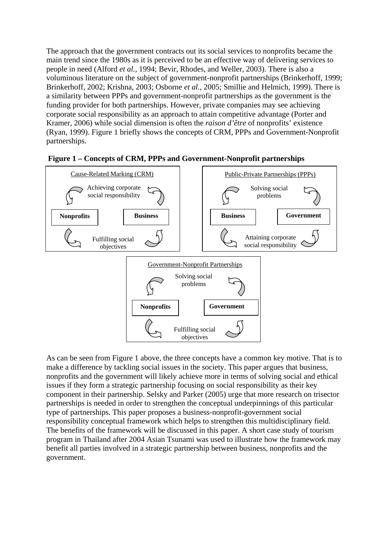The approach that the government contracts out its social services to nonprofits became the main trend since the 1980s as it is perceived to be an effective way of delivering services to people in need (Alford *et al.*, 1994; Bevir, Rhodes, and Weller, 2003). There is also a voluminous literature on the subject of government-nonprofit partnerships (Brinkerhoff, 1999; Brinkerhoff, 2002; Krishna, 2003; Osborne *et al.*, 2005; Smillie and Helmich, 1999). There is a similarity between PPPs and government-nonprofit partnerships as the government is the funding provider for both partnerships. However, private companies may see achieving corporate social responsibility as an approach to attain competitive advantage (Porter and Kramer, 2006) while social dimension is often the *raison d'être* of nonprofits' existence (Ryan, 1999). Figure 1 briefly shows the concepts of CRM, PPPs and Government-Nonprofit partnerships.



**Figure 1 – Concepts of CRM, PPPs and Government-Nonprofit partnerships** 

As can be seen from Figure 1 above, the three concepts have a common key motive. That is to make a difference by tackling social issues in the society. This paper argues that business, nonprofits and the government will likely achieve more in terms of solving social and ethical issues if they form a strategic partnership focusing on social responsibility as their key component in their partnership. Selsky and Parker (2005) urge that more research on trisector partnerships is needed in order to strengthen the conceptual underpinnings of this particular type of partnerships. This paper proposes a business-nonprofit-government social responsibility conceptual framework which helps to strengthen this multidisciplinary field. The benefits of the framework will be discussed in this paper. A short case study of tourism program in Thailand after 2004 Asian Tsunami was used to illustrate how the framework may benefit all parties involved in a strategic partnership between business, nonprofits and the government.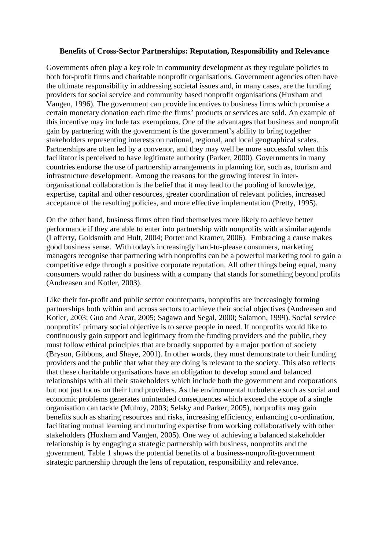## **Benefits of Cross-Sector Partnerships: Reputation, Responsibility and Relevance**

Governments often play a key role in community development as they regulate policies to both for-profit firms and charitable nonprofit organisations. Government agencies often have the ultimate responsibility in addressing societal issues and, in many cases, are the funding providers for social service and community based nonprofit organisations (Huxham and Vangen, 1996). The government can provide incentives to business firms which promise a certain monetary donation each time the firms' products or services are sold. An example of this incentive may include tax exemptions. One of the advantages that business and nonprofit gain by partnering with the government is the government's ability to bring together stakeholders representing interests on national, regional, and local geographical scales. Partnerships are often led by a convenor, and they may well be more successful when this facilitator is perceived to have legitimate authority (Parker, 2000). Governments in many countries endorse the use of partnership arrangements in planning for, such as, tourism and infrastructure development. Among the reasons for the growing interest in interorganisational collaboration is the belief that it may lead to the pooling of knowledge, expertise, capital and other resources, greater coordination of relevant policies, increased acceptance of the resulting policies, and more effective implementation (Pretty, 1995).

On the other hand, business firms often find themselves more likely to achieve better performance if they are able to enter into partnership with nonprofits with a similar agenda (Lafferty, Goldsmith and Hult, 2004; Porter and Kramer, 2006). Embracing a cause makes good business sense. With today's increasingly hard-to-please consumers, marketing managers recognise that partnering with nonprofits can be a powerful marketing tool to gain a competitive edge through a positive corporate reputation. All other things being equal, many consumers would rather do business with a company that stands for something beyond profits (Andreasen and Kotler, 2003).

Like their for-profit and public sector counterparts, nonprofits are increasingly forming partnerships both within and across sectors to achieve their social objectives (Andreasen and Kotler, 2003; Guo and Acar, 2005; Sagawa and Segal, 2000; Salamon, 1999). Social service nonprofits' primary social objective is to serve people in need. If nonprofits would like to continuously gain support and legitimacy from the funding providers and the public, they must follow ethical principles that are broadly supported by a major portion of society (Bryson, Gibbons, and Shaye, 2001). In other words, they must demonstrate to their funding providers and the public that what they are doing is relevant to the society. This also reflects that these charitable organisations have an obligation to develop sound and balanced relationships with all their stakeholders which include both the government and corporations but not just focus on their fund providers. As the environmental turbulence such as social and economic problems generates unintended consequences which exceed the scope of a single organisation can tackle (Mulroy, 2003; Selsky and Parker, 2005), nonprofits may gain benefits such as sharing resources and risks, increasing efficiency, enhancing co-ordination, facilitating mutual learning and nurturing expertise from working collaboratively with other stakeholders (Huxham and Vangen, 2005). One way of achieving a balanced stakeholder relationship is by engaging a strategic partnership with business, nonprofits and the government. Table 1 shows the potential benefits of a business-nonprofit-government strategic partnership through the lens of reputation, responsibility and relevance.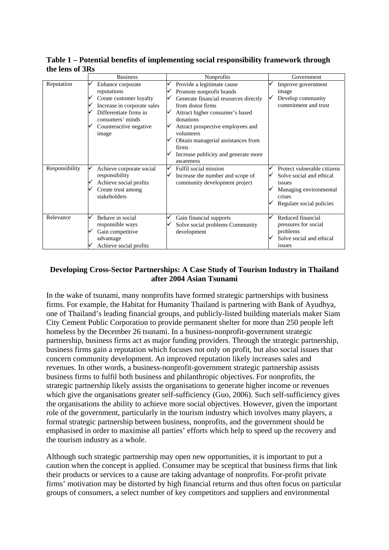| UIU IUID VI JIW |                                                                                                                                                                             |                                                                                                                                                                                                                                                                                                                            |                                                                                                                                   |
|-----------------|-----------------------------------------------------------------------------------------------------------------------------------------------------------------------------|----------------------------------------------------------------------------------------------------------------------------------------------------------------------------------------------------------------------------------------------------------------------------------------------------------------------------|-----------------------------------------------------------------------------------------------------------------------------------|
|                 | <b>Business</b>                                                                                                                                                             | Nonprofits                                                                                                                                                                                                                                                                                                                 | Government                                                                                                                        |
| Reputation      | Enhance corporate<br>reputations<br>Create customer loyalty<br>Increase in corporate sales<br>Differentiate firms in<br>consumers' minds<br>Counteractive negative<br>image | Provide a legitimate cause<br>Promote nonprofit brands<br>Generate financial resources directly<br>from donor firms<br>Attract higher consumer's based<br>donations<br>Attract prospective employees and<br>volunteers<br>Obtain managerial assistances from<br>firms<br>Increase publicity and generate more<br>awareness | Improve government<br>image<br>Develop community<br>commitment and trust                                                          |
| Responsibility  | Achieve corporate social<br>responsibility<br>Achieve social profits<br>Create trust among<br>stakeholders                                                                  | Fulfil social mission<br>✓<br>Increase the number and scope of<br>community development project                                                                                                                                                                                                                            | Protect vulnerable citizens<br>Solve social and ethical<br>issues<br>Managing environmental<br>crises<br>Regulate social policies |
| Relevance       | Behave in social<br>responsible ways<br>Gain competitive<br>advantage<br>Achieve social profits                                                                             | Gain financial supports<br>Solve social problems Community<br>development                                                                                                                                                                                                                                                  | Reduced financial<br>pressures for social<br>problems<br>Solve social and ethical<br>issues                                       |

**Table 1 – Potential benefits of implementing social responsibility framework through the lens of 3Rs** 

# **Developing Cross-Sector Partnerships: A Case Study of Tourism Industry in Thailand after 2004 Asian Tsunami**

In the wake of tsunami, many nonprofits have formed strategic partnerships with business firms. For example, the Habitat for Humanity Thailand is partnering with Bank of Ayudhya, one of Thailand's leading financial groups, and publicly-listed building materials maker Siam City Cement Public Corporation to provide permanent shelter for more than 250 people left homeless by the December 26 tsunami. In a business-nonprofit-government strategic partnership, business firms act as major funding providers. Through the strategic partnership, business firms gain a reputation which focuses not only on profit, but also social issues that concern community development. An improved reputation likely increases sales and revenues. In other words, a business-nonprofit-government strategic partnership assists business firms to fulfil both business and philanthropic objectives. For nonprofits, the strategic partnership likely assists the organisations to generate higher income or revenues which give the organisations greater self-sufficiency (Guo, 2006). Such self-sufficiency gives the organisations the ability to achieve more social objectives. However, given the important role of the government, particularly in the tourism industry which involves many players, a formal strategic partnership between business, nonprofits, and the government should be emphasised in order to maximise all parties' efforts which help to speed up the recovery and the tourism industry as a whole.

Although such strategic partnership may open new opportunities, it is important to put a caution when the concept is applied. Consumer may be sceptical that business firms that link their products or services to a cause are taking advantage of nonprofits. For-profit private firms' motivation may be distorted by high financial returns and thus often focus on particular groups of consumers, a select number of key competitors and suppliers and environmental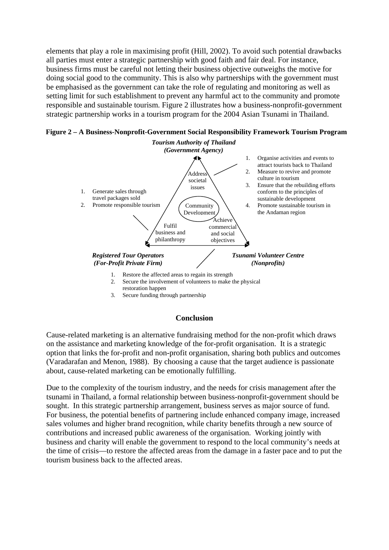elements that play a role in maximising profit (Hill, 2002). To avoid such potential drawbacks all parties must enter a strategic partnership with good faith and fair deal. For instance, business firms must be careful not letting their business objective outweighs the motive for doing social good to the community. This is also why partnerships with the government must be emphasised as the government can take the role of regulating and monitoring as well as setting limit for such establishment to prevent any harmful act to the community and promote responsible and sustainable tourism. Figure 2 illustrates how a business-nonprofit-government strategic partnership works in a tourism program for the 2004 Asian Tsunami in Thailand.

**Figure 2 – A Business-Nonprofit-Government Social Responsibility Framework Tourism Program**



3. Secure funding through partnership

#### **Conclusion**

Cause-related marketing is an alternative fundraising method for the non-profit which draws on the assistance and marketing knowledge of the for-profit organisation. It is a strategic option that links the for-profit and non-profit organisation, sharing both publics and outcomes (Varadarafan and Menon, 1988). By choosing a cause that the target audience is passionate about, cause-related marketing can be emotionally fulfilling.

Due to the complexity of the tourism industry, and the needs for crisis management after the tsunami in Thailand, a formal relationship between business-nonprofit-government should be sought. In this strategic partnership arrangement, business serves as major source of fund. For business, the potential benefits of partnering include enhanced company image, increased sales volumes and higher brand recognition, while charity benefits through a new source of contributions and increased public awareness of the organisation. Working jointly with business and charity will enable the government to respond to the local community's needs at the time of crisis—to restore the affected areas from the damage in a faster pace and to put the tourism business back to the affected areas.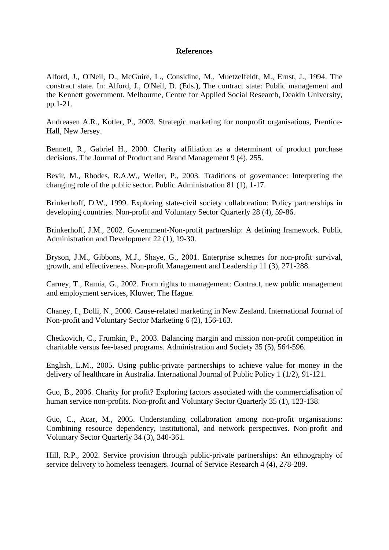## **References**

Alford, J., O'Neil, D., McGuire, L., Considine, M., Muetzelfeldt, M., Ernst, J., 1994. The constract state. In: Alford, J., O'Neil, D. (Eds.), The contract state: Public management and the Kennett government. Melbourne, Centre for Applied Social Research, Deakin University, pp.1-21.

Andreasen A.R., Kotler, P., 2003. Strategic marketing for nonprofit organisations, Prentice-Hall, New Jersey.

Bennett, R., Gabriel H., 2000. Charity affiliation as a determinant of product purchase decisions. The Journal of Product and Brand Management 9 (4), 255.

Bevir, M., Rhodes, R.A.W., Weller, P., 2003. Traditions of governance: Interpreting the changing role of the public sector. Public Administration 81 (1), 1-17.

Brinkerhoff, D.W., 1999. Exploring state-civil society collaboration: Policy partnerships in developing countries. Non-profit and Voluntary Sector Quarterly 28 (4), 59-86.

Brinkerhoff, J.M., 2002. Government-Non-profit partnership: A defining framework. Public Administration and Development 22 (1), 19-30.

Bryson, J.M., Gibbons, M.J., Shaye, G., 2001. Enterprise schemes for non-profit survival, growth, and effectiveness. Non-profit Management and Leadership 11 (3), 271-288.

Carney, T., Ramia, G., 2002. From rights to management: Contract, new public management and employment services, Kluwer, The Hague.

Chaney, I., Dolli, N., 2000. Cause-related marketing in New Zealand. International Journal of Non-profit and Voluntary Sector Marketing 6 (2), 156-163.

Chetkovich, C., Frumkin, P., 2003. Balancing margin and mission non-profit competition in charitable versus fee-based programs. Administration and Society 35 (5), 564-596.

English, L.M., 2005. Using public-private partnerships to achieve value for money in the delivery of healthcare in Australia. International Journal of Public Policy 1 (1/2), 91-121.

Guo, B., 2006. Charity for profit? Exploring factors associated with the commercialisation of human service non-profits. Non-profit and Voluntary Sector Quarterly 35 (1), 123-138.

Guo, C., Acar, M., 2005. Understanding collaboration among non-profit organisations: Combining resource dependency, institutional, and network perspectives. Non-profit and Voluntary Sector Quarterly 34 (3), 340-361.

Hill, R.P., 2002. Service provision through public-private partnerships: An ethnography of service delivery to homeless teenagers. Journal of Service Research 4 (4), 278-289.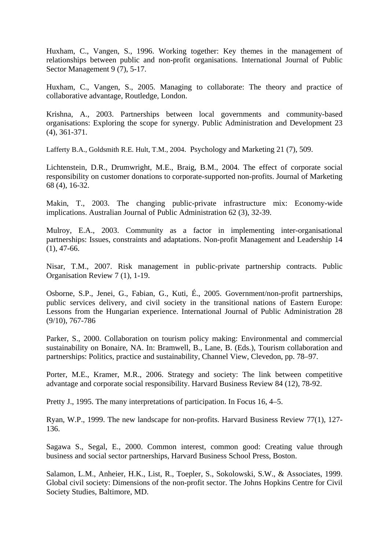Huxham, C., Vangen, S., 1996. Working together: Key themes in the management of relationships between public and non-profit organisations. International Journal of Public Sector Management 9 (7), 5-17.

Huxham, C., Vangen, S., 2005. Managing to collaborate: The theory and practice of collaborative advantage, Routledge, London.

Krishna, A., 2003. Partnerships between local governments and community-based organisations: Exploring the scope for synergy. Public Administration and Development 23 (4), 361-371.

Lafferty B.A., Goldsmith R.E. Hult, T.M., 2004. Psychology and Marketing 21 (7), 509.

Lichtenstein, D.R., Drumwright, M.E., Braig, B.M., 2004. The effect of corporate social responsibility on customer donations to corporate-supported non-profits. Journal of Marketing 68 (4), 16-32.

Makin, T., 2003. The changing public-private infrastructure mix: Economy-wide implications. Australian Journal of Public Administration 62 (3), 32-39.

Mulroy, E.A., 2003. Community as a factor in implementing inter-organisational partnerships: Issues, constraints and adaptations. Non-profit Management and Leadership 14  $(1), 47-66.$ 

Nisar, T.M., 2007. Risk management in public-private partnership contracts. Public Organisation Review 7 (1), 1-19.

Osborne, S.P., Jenei, G., Fabian, G., Kuti, É., 2005. Government/non-profit partnerships, public services delivery, and civil society in the transitional nations of Eastern Europe: Lessons from the Hungarian experience. International Journal of Public Administration 28 (9/10), 767-786

Parker, S., 2000. Collaboration on tourism policy making: Environmental and commercial sustainability on Bonaire, NA. In: Bramwell, B., Lane, B. (Eds.), Tourism collaboration and partnerships: Politics, practice and sustainability, Channel View, Clevedon, pp. 78–97.

Porter, M.E., Kramer, M.R., 2006. Strategy and society: The link between competitive advantage and corporate social responsibility. Harvard Business Review 84 (12), 78-92.

Pretty J., 1995. The many interpretations of participation. In Focus 16, 4–5.

Ryan, W.P., 1999. The new landscape for non-profits. Harvard Business Review 77(1), 127- 136.

Sagawa S., Segal, E., 2000. Common interest, common good: Creating value through business and social sector partnerships, Harvard Business School Press, Boston.

Salamon, L.M., Anheier, H.K., List, R., Toepler, S., Sokolowski, S.W., & Associates, 1999. Global civil society: Dimensions of the non-profit sector. The Johns Hopkins Centre for Civil Society Studies, Baltimore, MD.